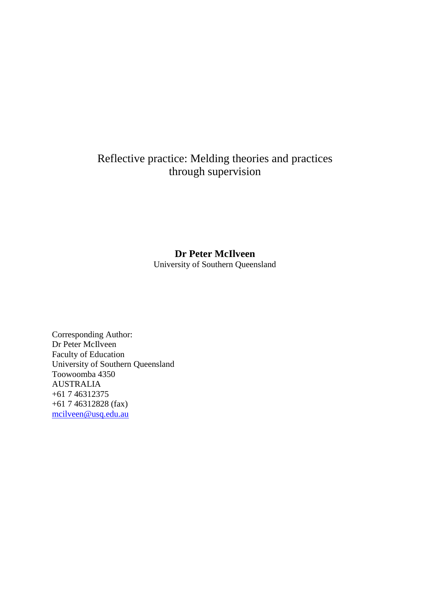## Reflective practice: Melding theories and practices through supervision

## **Dr Peter McIlveen**

University of Southern Queensland

Corresponding Author: Dr Peter McIlveen Faculty of Education University of Southern Queensland Toowoomba 4350 AUSTRALIA +61 7 46312375 +61 7 46312828 (fax) [mcilveen@usq.edu.au](mailto:mcilveen@usq.edu.au)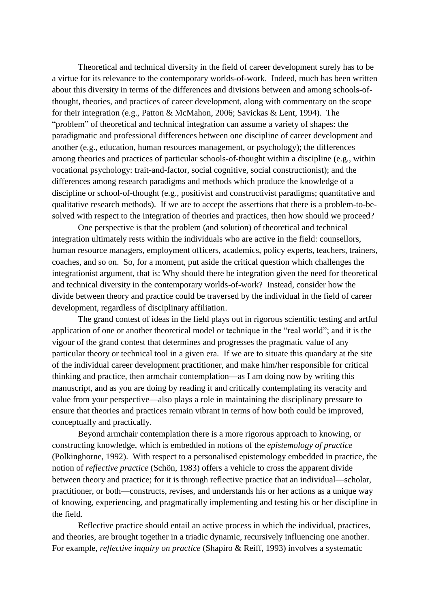Theoretical and technical diversity in the field of career development surely has to be a virtue for its relevance to the contemporary worlds-of-work. Indeed, much has been written about this diversity in terms of the differences and divisions between and among schools-ofthought, theories, and practices of career development, along with commentary on the scope for their integration (e.g., Patton & McMahon, 2006; Savickas & Lent, 1994). The "problem" of theoretical and technical integration can assume a variety of shapes: the paradigmatic and professional differences between one discipline of career development and another (e.g., education, human resources management, or psychology); the differences among theories and practices of particular schools-of-thought within a discipline (e.g., within vocational psychology: trait-and-factor, social cognitive, social constructionist); and the differences among research paradigms and methods which produce the knowledge of a discipline or school-of-thought (e.g., positivist and constructivist paradigms; quantitative and qualitative research methods). If we are to accept the assertions that there is a problem-to-besolved with respect to the integration of theories and practices, then how should we proceed?

One perspective is that the problem (and solution) of theoretical and technical integration ultimately rests within the individuals who are active in the field: counsellors, human resource managers, employment officers, academics, policy experts, teachers, trainers, coaches, and so on. So, for a moment, put aside the critical question which challenges the integrationist argument, that is: Why should there be integration given the need for theoretical and technical diversity in the contemporary worlds-of-work? Instead, consider how the divide between theory and practice could be traversed by the individual in the field of career development, regardless of disciplinary affiliation.

The grand contest of ideas in the field plays out in rigorous scientific testing and artful application of one or another theoretical model or technique in the "real world"; and it is the vigour of the grand contest that determines and progresses the pragmatic value of any particular theory or technical tool in a given era. If we are to situate this quandary at the site of the individual career development practitioner, and make him/her responsible for critical thinking and practice, then armchair contemplation—as I am doing now by writing this manuscript, and as you are doing by reading it and critically contemplating its veracity and value from your perspective—also plays a role in maintaining the disciplinary pressure to ensure that theories and practices remain vibrant in terms of how both could be improved, conceptually and practically.

Beyond armchair contemplation there is a more rigorous approach to knowing, or constructing knowledge, which is embedded in notions of the *epistemology of practice* (Polkinghorne, 1992). With respect to a personalised epistemology embedded in practice, the notion of *reflective practice* (Schön, 1983) offers a vehicle to cross the apparent divide between theory and practice; for it is through reflective practice that an individual—scholar, practitioner, or both—constructs, revises, and understands his or her actions as a unique way of knowing, experiencing, and pragmatically implementing and testing his or her discipline in the field.

Reflective practice should entail an active process in which the individual, practices, and theories, are brought together in a triadic dynamic, recursively influencing one another. For example, *reflective inquiry on practice* (Shapiro & Reiff, 1993) involves a systematic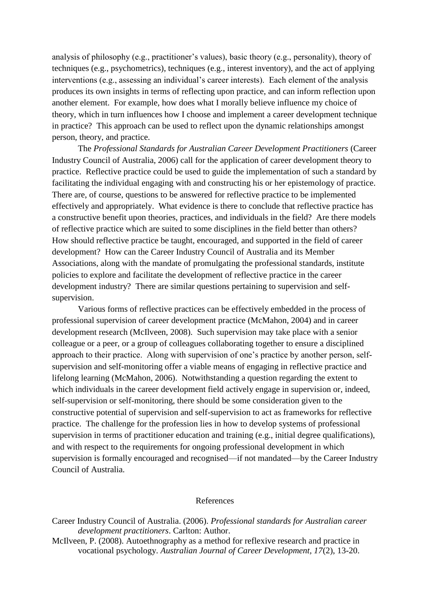analysis of philosophy (e.g., practitioner's values), basic theory (e.g., personality), theory of techniques (e.g., psychometrics), techniques (e.g., interest inventory), and the act of applying interventions (e.g., assessing an individual's career interests). Each element of the analysis produces its own insights in terms of reflecting upon practice, and can inform reflection upon another element. For example, how does what I morally believe influence my choice of theory, which in turn influences how I choose and implement a career development technique in practice? This approach can be used to reflect upon the dynamic relationships amongst person, theory, and practice.

The *Professional Standards for Australian Career Development Practitioners* (Career Industry Council of Australia, 2006) call for the application of career development theory to practice. Reflective practice could be used to guide the implementation of such a standard by facilitating the individual engaging with and constructing his or her epistemology of practice. There are, of course, questions to be answered for reflective practice to be implemented effectively and appropriately. What evidence is there to conclude that reflective practice has a constructive benefit upon theories, practices, and individuals in the field? Are there models of reflective practice which are suited to some disciplines in the field better than others? How should reflective practice be taught, encouraged, and supported in the field of career development? How can the Career Industry Council of Australia and its Member Associations, along with the mandate of promulgating the professional standards, institute policies to explore and facilitate the development of reflective practice in the career development industry? There are similar questions pertaining to supervision and selfsupervision.

Various forms of reflective practices can be effectively embedded in the process of professional supervision of career development practice (McMahon, 2004) and in career development research (McIlveen, 2008). Such supervision may take place with a senior colleague or a peer, or a group of colleagues collaborating together to ensure a disciplined approach to their practice. Along with supervision of one's practice by another person, selfsupervision and self-monitoring offer a viable means of engaging in reflective practice and lifelong learning (McMahon, 2006). Notwithstanding a question regarding the extent to which individuals in the career development field actively engage in supervision or, indeed, self-supervision or self-monitoring, there should be some consideration given to the constructive potential of supervision and self-supervision to act as frameworks for reflective practice. The challenge for the profession lies in how to develop systems of professional supervision in terms of practitioner education and training (e.g., initial degree qualifications), and with respect to the requirements for ongoing professional development in which supervision is formally encouraged and recognised—if not mandated—by the Career Industry Council of Australia.

## References

- Career Industry Council of Australia. (2006). *Professional standards for Australian career development practitioners*. Carlton: Author.
- McIlveen, P. (2008). Autoethnography as a method for reflexive research and practice in vocational psychology. *Australian Journal of Career Development, 17*(2), 13-20.